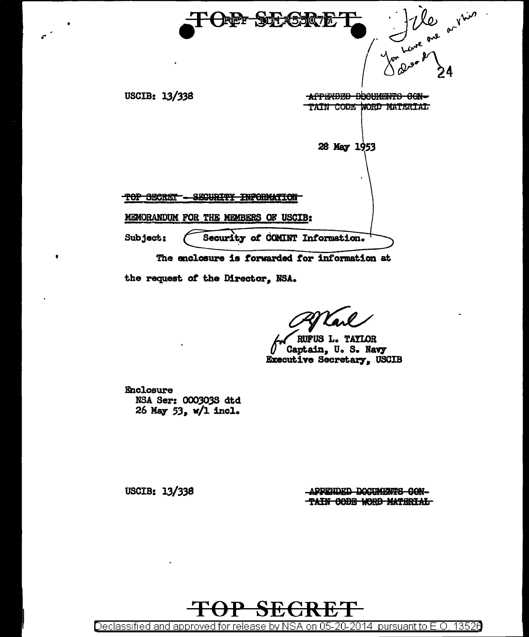we are anything USCIB: 13/338 APPENDED DOCUMENTS CON-TAIN CODE WORD MATERIAL 28 May 1953 SEGURITY INFORMATION TOP SECRET -MEMORANDUM FOR THE MEMBERS OF USCIB: Security of COMINT Information. Subject: The enclosure is forwarded for information at

the request of the Director, NSA.

RUFUS L. TAYLOR Captain, U.S. Navy Executive Secretary, USCIB

Enclosure NSA Ser: 000303S dtd 26 May 53, w/1 incl.

USCIB: 13/338

APPENDED DOCUMENTS CON-TAIN CODE WORD MATERIAL



13526 Declassified and approved for release by NSA on 05-20-2014 pursuant to E.O.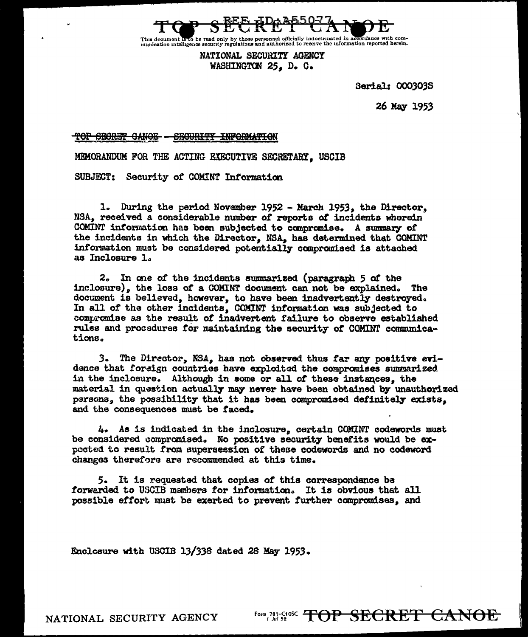

This document is to be read only by those personnel officially indoctrinated in accordance with com-<br>munication intelligence security regulations and authorized to receive the information reported herein.

NATIONAL SECURITY AGENCY WASHINGTON 25. D. C.

Serial: 000303S

26 May 1953

<del>TOP SECRET CANOE -</del> SECURITY INFORMATION

MEMORANDUM FOR THE ACTING EXECUTIVE SECRETARY. USCIB

SUBJECT: Security of COMINT Information

1. During the period November 1952 - March 1953, the Director. NSA, received a considerable number of reports of incidents wherein COMINT information has been subjected to compromise. A summary of the incidents in which the Director, NSA, has determined that COMINT information must be considered potentially compromised is attached as Inclosure 1.

2. In one of the incidents summarized (paragraph 5 of the inclosure), the loss of a COMINT document can not be explained. The document is believed, however, to have been inadvertently destroyed. In all of the other incidents, COMINT information was subjected to compromise as the result of inadvertent failure to observe established rules and procedures for maintaining the security of COMINT communications.

3. The Director, NSA, has not observed thus far any positive evidence that foreign countries have exploited the compromises summarized in the inclosure. Although in some or all of these instances, the material in question actually may never have been obtained by unauthorized persons, the possibility that it has been compromised definitely exists. and the consequences must be faced.

4. As is indicated in the inclosure, certain COMINT codewords must be considered compromised. No positive security benefits would be expocted to result from supersession of these codewords and no codeword changes therefore are recommended at this time.

5. It is requested that copies of this correspondence be forwarded to USCIB members for information. It is obvious that all possible effort must be exerted to prevent further compromises, and

Enclosure with USCIB 13/338 dated 28 May 1953.

NATIONAL SECURITY AGENCY

Form, 781-C108C TOP SECRET CANOE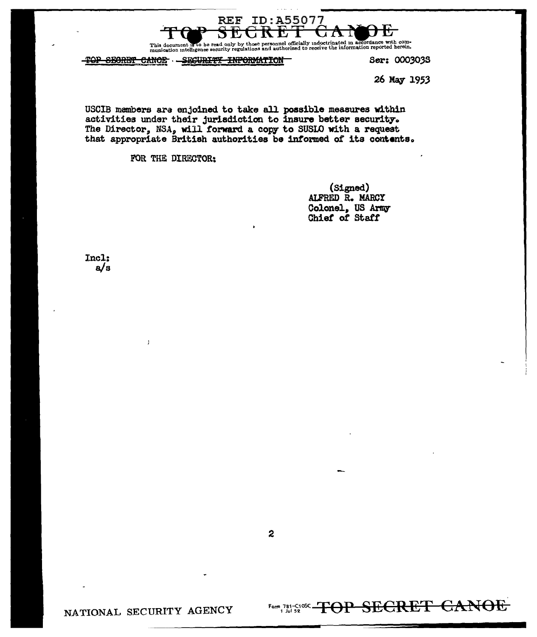

rsonnel officially indoctrinated in accordance with com-<br>id authorized to receive the information reported herein. This document is to be read only by those<br>munication intelligence security regulation

TOP SECRET CANOE - SECURITY INFORMATION

Ser: 0003038

26 May 1953

USCIB members are enjoined to take all possible measures within activities under their jurisdiction to insure better security. The Director, NSA, will forward a copy to SUSIO with a request that appropriate British authorities be informed of its contents.

FOR THE DIRECTOR:

(Signed) ALFRED R. MARCY Colonel, US Army<br>Chief of Staff

Incl:  $a/s$ 

NATIONAL SECURITY AGENCY

Form, 781-SIOSE-TOP SECRET CANOE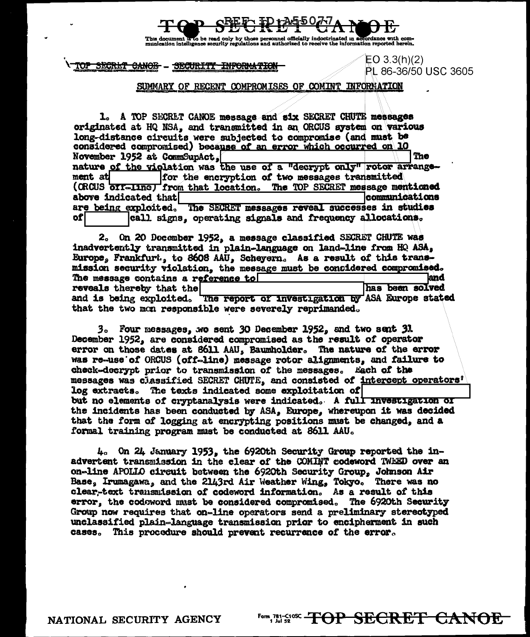

This document in to be read only by those personnel officially indoctrinated in accordance with com-<br>munication intelligence security regulations and authorized to receive the information reported herein.

## TOP SECRET CANOE - SECURITY INFORMATION

EO  $3.3(h)(2)$ PL 86-36/50 USC 3605

## SUMMARY OF RECENT COMPROMISES OF COMINT INFORMATION

1. A TOP SECRET CANOE message and six SECRET CHUTE messages originated at HQ NSA, and transmitted in an ORCUS system on various long-distance circuits were subjected to compromise (and must be considered compromised) because of an error which occurred on 10 November 1952 at CommSupAct, The nature of the violation was the use of a "decrypt only" rotor arrangement at for the encryption of two messages transmitted (ORCUS off-line) from that location. The TOP SECRET message mentioned above indicated that **communications** are being exploited. The SECRET messages reveal successes in studies of call signs, operating signals and frequency allocations.

2. On 20 December 1952, a message classified SECRET CHUTE was inadvertently transmitted in plain-language on land-line from HQ ASA, Europe, Frankfurt, to 8608 AAU, Scheyern. As a result of this transmission security violation, the message must be considered compromised. The message contains a reference to land has been solved reveals thereby that the and is being exploited. The report of investigation by ASA Europe stated that the two mon responsible were severely reprimanded.

3. Four messages, wo sent 30 December 1952, and two sent 31 December 1952, are considered compromised as the result of operator error on those dates at 8611 AAU, Baumholder. The nature of the error was re-use of ORCUS (off-line) message rotor alignments, and failure to check-decrypt prior to transmission of the messages. Each of the messages was classified SECRET CHUTE, and consisted of intercept operators' log extracts. The texts indicated some exploitation of but no elements of cryptanalysis were indicated. A full investigation of the incidents has been conducted by ASA, Europe, whereupon it was decided that the form of logging at encrypting positions must be changed, and a formal training program must be conducted at 8611 AAU.

 $4<sub>c</sub>$  On 24 January 1953, the 6920th Security Group reported the inadvertent transmission in the clear of the COMINT codeword TWEED over an on-line APOLIO circuit between the 6920th Security Group, Johnson Air Base, Irumagawa, and the 2143rd Air Weather Wing, Tokyo. There was no clear-text transmission of codeword information. As a result of this error, the codoword must be considered compromised. The 6920th Security Group now requires that on-line operators send a preliminary stereotyped unclassified plain-language transmission prior to encipherment in such cases. This procedure should prevent recurrence of the error.

Form 781-C10SC THOP SECRET CANOR